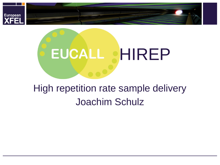

# EUCALL **HIREP**

## High repetition rate sample delivery Joachim Schulz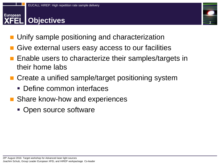#### **European FEL Objectives**



- Unify sample positioning and characterization
- Give external users easy access to our facilities
- Enable users to characterize their samples/targets in their home labs
- Create a unified sample/target positioning system
	- Define common interfaces
- Share know-how and experiences
	- Open source software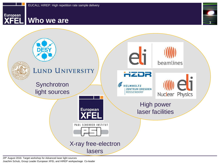

## **XFEL** Who we are





29<sup>th</sup> August 2016: Target workshop for Advanced laser light sources Joachim Schulz, Group Leader European XFEL and HIREP workpackage Co-leader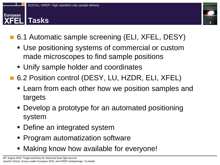#### **European Tasks**



- 6.1 Automatic sample screening (ELI, XFEL, DESY)
	- Use positioning systems of commercial or custom made microscopes to find sample positions
	- Unify sample holder and coordinates
- 6.2 Position control (DESY, LU, HZDR, ELI, XFEL)
	- **EXA** Learn from each other how we position samples and targets
	- Develop a prototype for an automated positioning system
	- **Define an integrated system**
	- **Program automatization software**
	- **Making know how available for everyone!**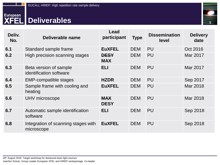

## European Deliverables

| Deliv.<br>No. | Deliverable name                                  | Lead<br>participant       | <b>Type</b> | <b>Dissemination</b><br>level | <b>Delivery</b><br>date |
|---------------|---------------------------------------------------|---------------------------|-------------|-------------------------------|-------------------------|
| 6.1           | Standard sample frame                             | <b>EuXFEL</b>             | <b>DEM</b>  | <b>PU</b>                     | Oct 2016                |
| 6.2           | High precision scanning stages                    | <b>DESY</b><br><b>MAX</b> | <b>DEM</b>  | <b>PU</b>                     | Mar 2017                |
| 6.3           | Beta version of sample<br>identification software | <b>ELI</b>                | <b>DEM</b>  | PU                            | Mar 2017                |
| 6.4           | <b>EMP-compatible stages</b>                      | <b>HZDR</b>               | <b>DEM</b>  | <b>PU</b>                     | Sep 2017                |
| 6.5           | Sample frame with cooling and<br>heating          | <b>EuXFEL</b>             | <b>DEM</b>  | <b>PU</b>                     | Mar 2018                |
| 6.6           | UHV microscope                                    | <b>MAX</b><br><b>DESY</b> | <b>DEM</b>  | PU                            | Mar 2018                |
| 6.7           | Automatic sample identification<br>software       | <b>ELI</b>                | <b>DEM</b>  | <b>PU</b>                     | Sep 2018                |
| 6.8           | Integration of scanning stages with<br>microscope | <b>EuXFEL</b>             | <b>DEM</b>  | <b>PU</b>                     | Sep 2018                |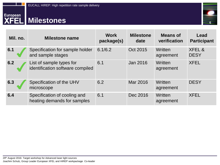## European<br>XFEL Milestones



| Mil. no. | <b>Milestone name</b>                                        | <b>Work</b><br>package(s) | <b>Milestone</b><br>date | <b>Means of</b><br>verification | Lead<br><b>Participant</b>       |
|----------|--------------------------------------------------------------|---------------------------|--------------------------|---------------------------------|----------------------------------|
| 6.1      | Specification for sample holder<br>and sample stages         | 6.1/6.2                   | Oct 2015                 | Written<br>agreement            | <b>XFEL &amp;</b><br><b>DESY</b> |
| 6.2      | List of sample types for<br>identification software compiled | 6.1                       | Jan 2016                 | Written<br>agreement            | <b>XFEL</b>                      |
| 6.3      | Specification of the UHV<br>microscope                       | 6.2                       | Mar 2016                 | Written<br>agreement            | <b>DESY</b>                      |
| 6.4      | Specification of cooling and<br>heating demands for samples  | 6.1                       | Dec 2016                 | Written<br>agreement            | <b>XFEL</b>                      |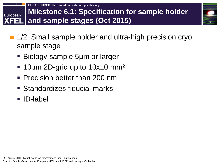

- 1/2: Small sample holder and ultra-high precision cryo sample stage
	- Biology sample 5µm or larger
	- 10µm 2D-grid up to 10x10 mm²
	- Precision better than 200 nm
	- Standardizes fiducial marks
	- **ID-label**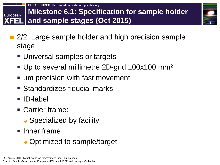

- 2/2: Large sample holder and high precision sample stage
	- Universal samples or targets
	- Up to several millimetre 2D-grid 100x100 mm²
	- µm precision with fast movement
	- Standardizes fiducial marks
	- **ID-label**
	- Carrier frame:
		- $\rightarrow$  Specialized by facility
	- $\blacksquare$  Inner frame
		- **→ Optimized to sample/target**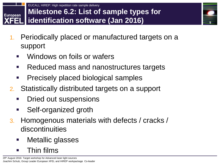

1. Periodically placed or manufactured targets on a support

**9**

- Windows on foils or wafers
- Reduced mass and nanostructures targets
- Precisely placed biological samples
- 2. Statistically distributed targets on a support
	- Dried out suspensions
	- **Self-organized groth**
- 3. Homogenous materials with defects / cracks / discontinuities
	- Metallic glasses
	- Thin films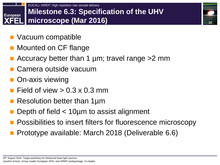#### EUCALL HIREP: High repetition rate sample delivery **Milestone 6.3: Specification of the UHV European microscope (Mar 2016)**

**10**

- Vacuum compatible
- Mounted on CF flange
- Accuracy better than 1 µm; travel range > 2 mm
- Camera outside vacuum
- On-axis viewing
- Field of view  $> 0.3 \times 0.3$  mm
- Resolution better than 1µm
- Depth of field < 10µm to assist alignment
- Possibilities to insert filters for fluorescence microscopy
- Prototype available: March 2018 (Deliverable 6.6)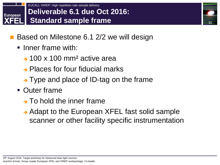#### EUCALL HIREP: High repetition rate sample delivery **Deliverable 6.1 due Oct 2016: European Standard sample frame**

- Based on Milestone 6.1 2/2 we will design
	- $\blacksquare$  Inner frame with:
		- $\rightarrow$  100 x 100 mm<sup>2</sup> active area
		- **→ Places for four fiducial marks**
		- $\rightarrow$  Type and place of ID-tag on the frame
	- **Outer frame** 
		- $\rightarrow$  To hold the inner frame
		- → Adapt to the European XFEL fast solid sample scanner or other facility specific instrumentation

**11**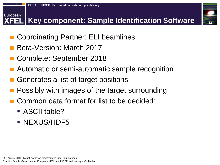

### **Key component: Sample Identification Software**



- Coordinating Partner: ELI beamlines
- Beta-Version: March 2017
- Complete: September 2018
- Automatic or semi-automatic sample recognition
- Generates a list of target positions
- Possibly with images of the target surrounding
- Common data format for list to be decided:
	- ASCII table?
	- **NEXUS/HDF5**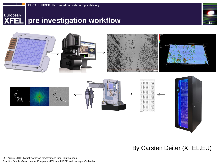

## **European** pre investigation workflow





#### By Carsten Deiter (XFEL.EU)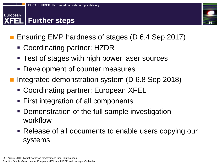#### **European Further steps**



- Ensuring EMP hardness of stages (D 6.4 Sep 2017)
	- Coordinating partner: HZDR
	- Test of stages with high power laser sources
	- Development of counter measures
- Integrated demonstration system (D 6.8 Sep 2018)
	- Coordinating partner: European XFEL
	- First integration of all components
	- Demonstration of the full sample investigation workflow
	- Release of all documents to enable users copying our systems